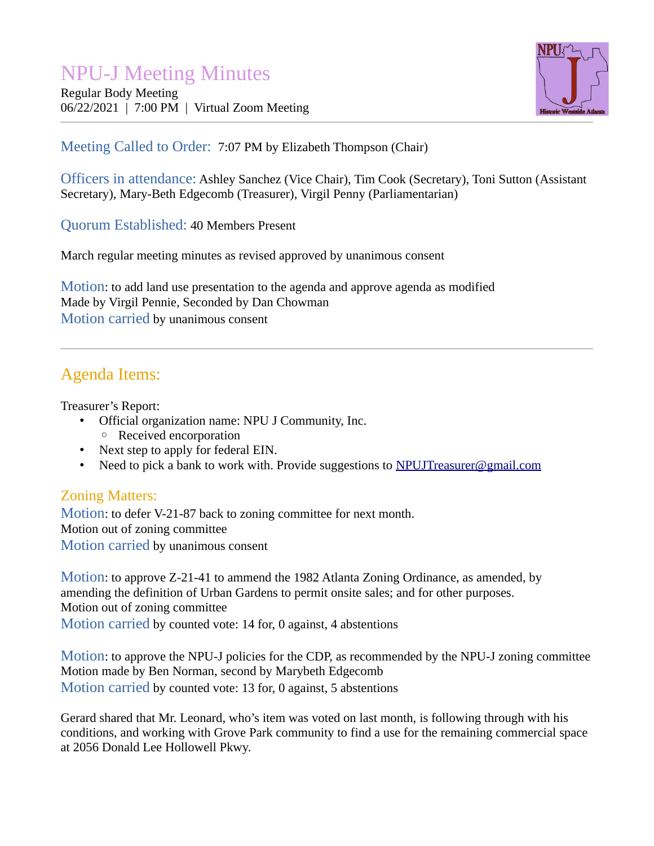# NPU-J Meeting Minutes

Regular Body Meeting 06/22/2021 | 7:00 PM | Virtual Zoom Meeting



## Meeting Called to Order: 7:07 PM by Elizabeth Thompson (Chair)

Officers in attendance: Ashley Sanchez (Vice Chair), Tim Cook (Secretary), Toni Sutton (Assistant Secretary), Mary-Beth Edgecomb (Treasurer), Virgil Penny (Parliamentarian)

Quorum Established: 40 Members Present

March regular meeting minutes as revised approved by unanimous consent

Motion: to add land use presentation to the agenda and approve agenda as modified Made by Virgil Pennie, Seconded by Dan Chowman Motion carried by unanimous consent

# Agenda Items:

Treasurer's Report:

- Official organization name: NPU J Community, Inc.
	- Received encorporation
- Next step to apply for federal EIN.
- Need to pick a bank to work with. Provide suggestions to [NPUJTreasurer@gmail.com](mailto:NPUJTreasurer@gmail.com)

### Zoning Matters:

Motion: to defer V-21-87 back to zoning committee for next month. Motion out of zoning committee Motion carried by unanimous consent

Motion: to approve Z-21-41 to ammend the 1982 Atlanta Zoning Ordinance, as amended, by amending the definition of Urban Gardens to permit onsite sales; and for other purposes. Motion out of zoning committee Motion carried by counted vote: 14 for, 0 against, 4 abstentions

Motion: to approve the NPU-J policies for the CDP, as recommended by the NPU-J zoning committee Motion made by Ben Norman, second by Marybeth Edgecomb Motion carried by counted vote: 13 for, 0 against, 5 abstentions

Gerard shared that Mr. Leonard, who's item was voted on last month, is following through with his conditions, and working with Grove Park community to find a use for the remaining commercial space at 2056 Donald Lee Hollowell Pkwy.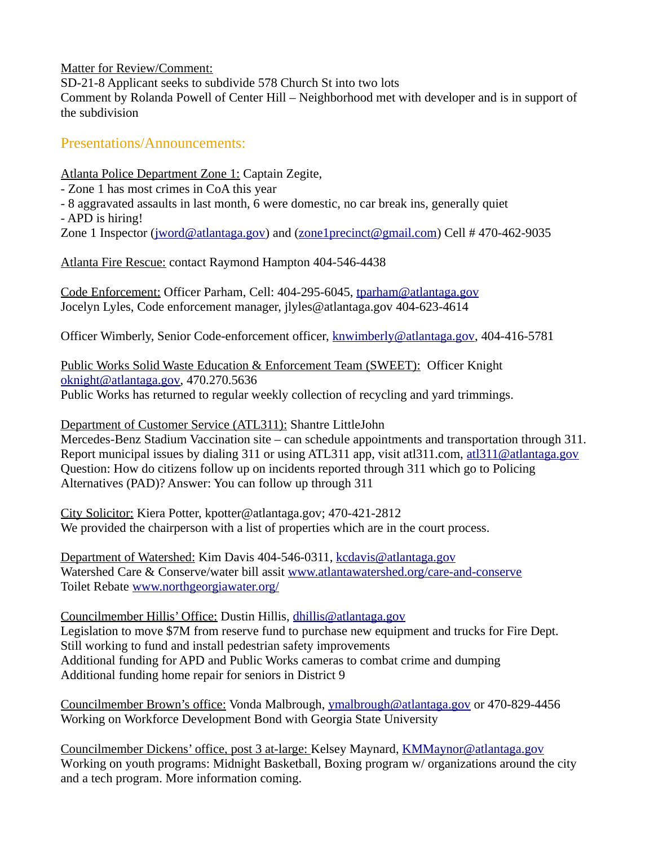Matter for Review/Comment:

SD-21-8 Applicant seeks to subdivide 578 Church St into two lots

Comment by Rolanda Powell of Center Hill – Neighborhood met with developer and is in support of the subdivision

Presentations/Announcements:

Atlanta Police Department Zone 1: Captain Zegite,

- Zone 1 has most crimes in CoA this year

- 8 aggravated assaults in last month, 6 were domestic, no car break ins, generally quiet

- APD is hiring!

Zone 1 Inspector [\(jword@atlantaga.gov](mailto:jword@atlantaga.gov)) and ([zone1precinct@gmail.com](mailto:zone1precinct@gmail.com)) Cell # 470-462-9035

Atlanta Fire Rescue: contact Raymond Hampton 404-546-4438

Code Enforcement: Officer Parham, Cell: 404-295-6045, [tparham@atlantaga.gov](mailto:tparham@atlantaga.gov) Jocelyn Lyles, Code enforcement manager, jlyles@atlantaga.gov 404-623-4614

Officer Wimberly, Senior Code-enforcement officer, [knwimberly@atlantaga.gov,](mailto:knwimberly@atlantaga.gov) 404-416-5781

Public Works Solid Waste Education & Enforcement Team (SWEET): Officer Knight [oknight@atlantaga.gov,](mailto:oknight@atlantaga.gov) 470.270.5636 Public Works has returned to regular weekly collection of recycling and yard trimmings.

 Department of Customer Service (ATL311) : Shantre LittleJohn Mercedes-Benz Stadium Vaccination site – can schedule appointments and transportation through 311. Report municipal issues by dialing 311 or using ATL311 app, visit atl311.com, [atl311@atlantaga.gov](mailto:atl311@atlantaga.gov) Question: How do citizens follow up on incidents reported through 311 which go to Policing Alternatives (PAD)? Answer: You can follow up through 311

City Solicitor: Kiera Potter, kpotter@atlantaga.gov; 470-421-2812 We provided the chairperson with a list of properties which are in the court process.

Department of Watershed: Kim Davis 404-546-0311, [kcdavis@atlantaga.gov](mailto:kcdavis@atlantaga.gov) Watershed Care & Conserve/water bill assit [www.atlantawatershed.org/care-and-conserve](http://www.atlantawatershed.org/care-and-conserve)  Toilet Rebate [www.northgeorgiawater.org/](http://www.northgeorgiawater.org/)

Councilmember Hillis' Office: Dustin Hillis, [dhillis@atlantaga.gov](mailto:dhillis@atlantaga.gov) Legislation to move \$7M from reserve fund to purchase new equipment and trucks for Fire Dept. Still working to fund and install pedestrian safety improvements Additional funding for APD and Public Works cameras to combat crime and dumping Additional funding home repair for seniors in District 9

Councilmember Brown's office: Vonda Malbrough, [ymalbrough@atlantaga.gov](mailto:ymalbrough@atlantaga.gov) or 470-829-4456 Working on Workforce Development Bond with Georgia State University

Councilmember Dickens' office, post 3 at-large: Kelsey Maynard, [KMMaynor@atlantaga.gov](mailto:KMMaynor@atlantaga.gov) Working on youth programs: Midnight Basketball, Boxing program w/ organizations around the city and a tech program. More information coming.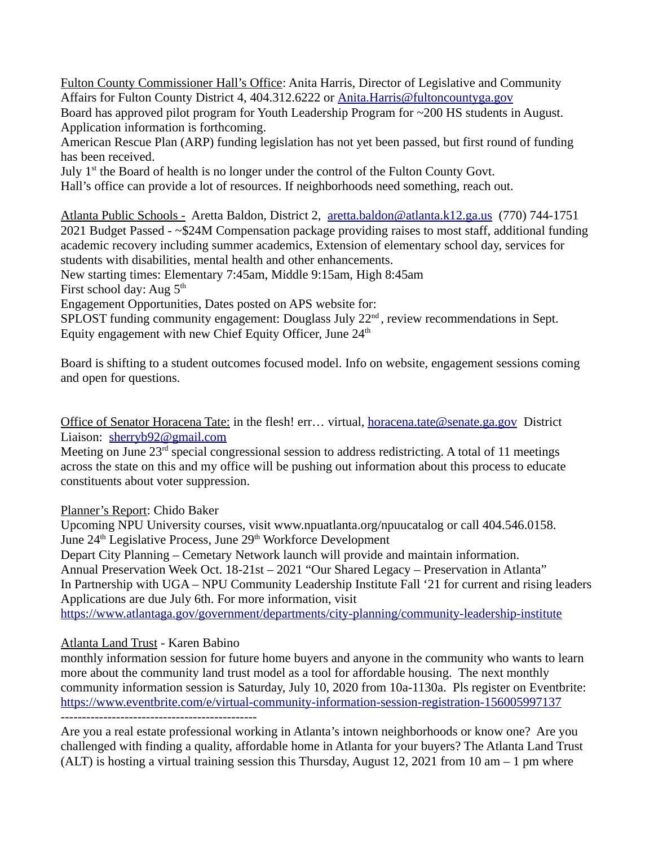Fulton County Commissioner Hall's Office: Anita Harris, Director of Legislative and Community Affairs for Fulton County District 4, 404.312.6222 or [Anita.Harris@fultoncountyga.gov](mailto:Anita.Harris@fultoncountyga.gov)

Board has approved pilot program for Youth Leadership Program for ~200 HS students in August. Application information is forthcoming.

American Rescue Plan (ARP) funding legislation has not yet been passed, but first round of funding has been received.

July  $1<sup>st</sup>$  the Board of health is no longer under the control of the Fulton County Govt.

Hall's office can provide a lot of resources. If neighborhoods need something, reach out.

Atlanta Public Schools - Aretta Baldon, District 2, [aretta.baldon@atlanta.k12.ga.us](mailto:aretta.baldon@atlanta.k12.ga.us) (770) 744-1751 2021 Budget Passed - ~\$24M Compensation package providing raises to most staff, additional funding academic recovery including summer academics, Extension of elementary school day, services for students with disabilities, mental health and other enhancements.

New starting times: Elementary 7:45am, Middle 9:15am, High 8:45am

First school day: Aug  $5<sup>th</sup>$ 

Engagement Opportunities, Dates posted on APS website for:

SPLOST funding community engagement: Douglass July 22<sup>nd</sup>, review recommendations in Sept. Equity engagement with new Chief Equity Officer, June  $24<sup>th</sup>$ 

Board is shifting to a student outcomes focused model. Info on website, engagement sessions coming and open for questions.

Office of Senator Horacena Tate: in the flesh! err… virtual, [horacena.tate@senate.ga.gov](mailto:horacena.tate@senate.ga.gov) District Liaison: [sherryb92@gmail.com](mailto:sherryb92@gmail.com)

Meeting on June  $23<sup>rd</sup>$  special congressional session to address redistricting. A total of 11 meetings across the state on this and my office will be pushing out information about this process to educate constituents about voter suppression.

#### Planner's Report: Chido Baker

Upcoming NPU University courses, visit www.npuatlanta.org/npuucatalog or call 404.546.0158. June 24<sup>th</sup> Legislative Process, June 29<sup>th</sup> Workforce Development

Depart City Planning – Cemetary Network launch will provide and maintain information. Annual Preservation Week Oct. 18-21st – 2021 "Our Shared Legacy – Preservation in Atlanta" In Partnership with UGA – NPU Community Leadership Institute Fall '21 for current and rising leaders Applications are due July 6th. For more information, visit

<https://www.atlantaga.gov/government/departments/city-planning/community-leadership-institute>

#### Atlanta Land Trust - Karen Babino

monthly information session for future home buyers and anyone in the community who wants to learn more about the community land trust model as a tool for affordable housing. The next monthly community information session is Saturday, July 10, 2020 from 10a-1130a. Pls register on Eventbrite: <https://www.eventbrite.com/e/virtual-community-information-session-registration-156005997137> ----------------------------------------------

Are you a real estate professional working in Atlanta's intown neighborhoods or know one? Are you challenged with finding a quality, affordable home in Atlanta for your buyers? The Atlanta Land Trust (ALT) is hosting a virtual training session this Thursday, August 12, 2021 from 10 am  $-1$  pm where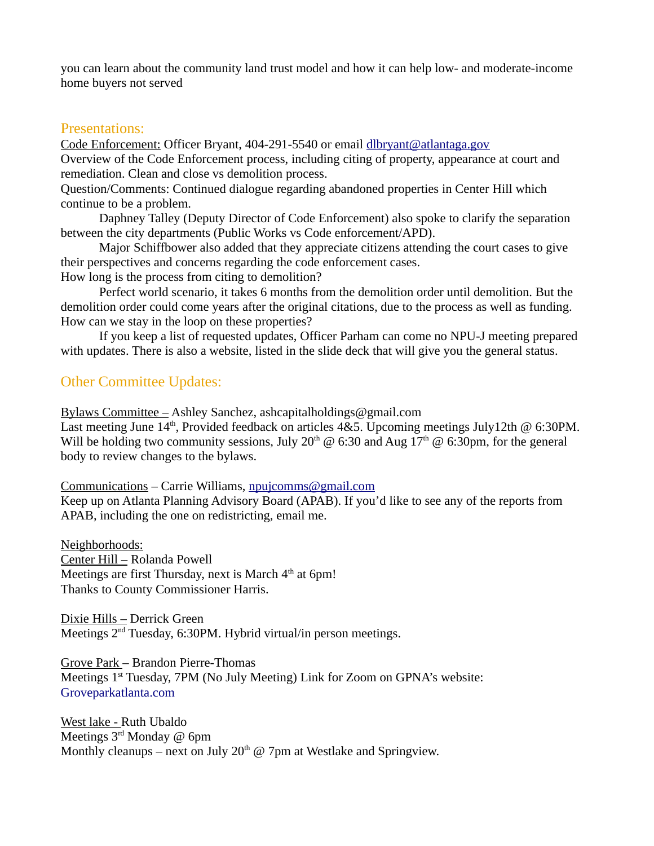you can learn about the community land trust model and how it can help low- and moderate-income home buyers not served

#### Presentations:

Code Enforcement: Officer Bryant, 404-291-5540 or email [dlbryant@atlantaga.gov](mailto:dlbryant@atlantaga.gov) Overview of the Code Enforcement process, including citing of property, appearance at court and remediation. Clean and close vs demolition process.

Question/Comments: Continued dialogue regarding abandoned properties in Center Hill which continue to be a problem.

Daphney Talley (Deputy Director of Code Enforcement) also spoke to clarify the separation between the city departments (Public Works vs Code enforcement/APD).

Major Schiffbower also added that they appreciate citizens attending the court cases to give their perspectives and concerns regarding the code enforcement cases.

How long is the process from citing to demolition?

Perfect world scenario, it takes 6 months from the demolition order until demolition. But the demolition order could come years after the original citations, due to the process as well as funding. How can we stay in the loop on these properties?

If you keep a list of requested updates, Officer Parham can come no NPU-J meeting prepared with updates. There is also a website, listed in the slide deck that will give you the general status.

#### Other Committee Updates:

Bylaws Committee – Ashley Sanchez, ashcapitalholdings@gmail.com

Last meeting June 14<sup>th</sup>, Provided feedback on articles 4&5. Upcoming meetings July12th @ 6:30PM. Will be holding two community sessions, July 20<sup>th</sup> @ 6:30 and Aug 17<sup>th</sup> @ 6:30pm, for the general body to review changes to the bylaws.

Communications – Carrie Williams, [npujcomms@gmail.com](mailto:npujcomms@gmail.com)

Keep up on Atlanta Planning Advisory Board (APAB). If you'd like to see any of the reports from APAB, including the one on redistricting, email me.

Neighborhoods: Center Hill - Rolanda Powell Meetings are first Thursday, next is March  $4<sup>th</sup>$  at 6pm! Thanks to County Commissioner Harris.

Dixie Hills – Derrick Green Meetings  $2<sup>nd</sup>$  Tuesday, 6:30PM. Hybrid virtual/in person meetings.

Grove Park – Brandon Pierre-Thomas Meetings 1<sup>st</sup> Tuesday, 7PM (No July Meeting) Link for Zoom on GPNA's website: [Groveparkatlanta.com](http://Groveparkatlanta.com/)

West lake - Ruth Ubaldo Meetings  $3<sup>rd</sup>$  Monday @ 6pm Monthly cleanups – next on July  $20<sup>th</sup>$  @ 7pm at Westlake and Springview.